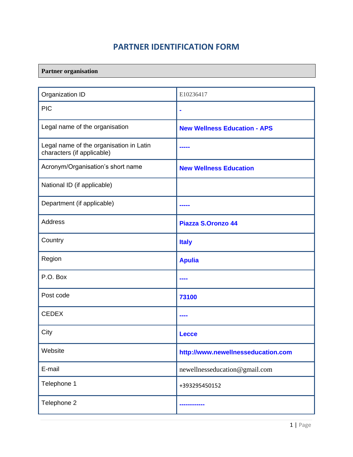## **PARTNER IDENTIFICATION FORM**

### **Partner organisation**

| Organization ID                                                       | E10236417                           |
|-----------------------------------------------------------------------|-------------------------------------|
| <b>PIC</b>                                                            | $\blacksquare$                      |
| Legal name of the organisation                                        | <b>New Wellness Education - APS</b> |
| Legal name of the organisation in Latin<br>characters (if applicable) |                                     |
| Acronym/Organisation's short name                                     | <b>New Wellness Education</b>       |
| National ID (if applicable)                                           |                                     |
| Department (if applicable)                                            |                                     |
| <b>Address</b>                                                        | <b>Piazza S.Oronzo 44</b>           |
| Country                                                               | <b>Italy</b>                        |
| Region                                                                | <b>Apulia</b>                       |
| P.O. Box                                                              |                                     |
| Post code                                                             | 73100                               |
| <b>CEDEX</b>                                                          |                                     |
| City                                                                  | <b>Lecce</b>                        |
| Website                                                               | http://www.newellnesseducation.com  |
| E-mail                                                                | newellnesseducation@gmail.com       |
| Telephone 1                                                           | +393295450152                       |
| Telephone 2                                                           |                                     |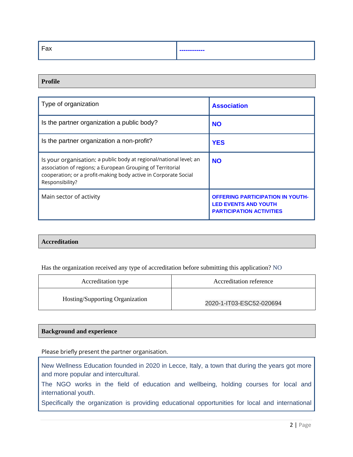| <u>г.</u><br>ūλ | ------------ |
|-----------------|--------------|
|-----------------|--------------|

#### **Profile**

| Type of organization                                                                                                                                                                                                   | <b>Association</b>                                                                                        |
|------------------------------------------------------------------------------------------------------------------------------------------------------------------------------------------------------------------------|-----------------------------------------------------------------------------------------------------------|
| Is the partner organization a public body?                                                                                                                                                                             | <b>NO</b>                                                                                                 |
| Is the partner organization a non-profit?                                                                                                                                                                              | <b>YES</b>                                                                                                |
| Is your organisation: a public body at regional/national level; an<br>association of regions; a European Grouping of Territorial<br>cooperation; or a profit-making body active in Corporate Social<br>Responsibility? | <b>NO</b>                                                                                                 |
| Main sector of activity                                                                                                                                                                                                | <b>OFFERING PARTICIPATION IN YOUTH-</b><br><b>LED EVENTS AND YOUTH</b><br><b>PARTICIPATION ACTIVITIES</b> |

#### **Accreditation**

Has the organization received any type of accreditation before submitting this application? NO

| Accreditation type              | Accreditation reference  |
|---------------------------------|--------------------------|
| Hosting/Supporting Organization | 2020-1-IT03-ESC52-020694 |

| <b>Background and experience</b> |
|----------------------------------|
|----------------------------------|

Please briefly present the partner organisation.

New Wellness Education founded in 2020 in Lecce, Italy, a town that during the years got more and more popular and intercultural.

The NGO works in the field of education and wellbeing, holding courses for local and international youth.

Specifically the organization is providing educational opportunities for local and international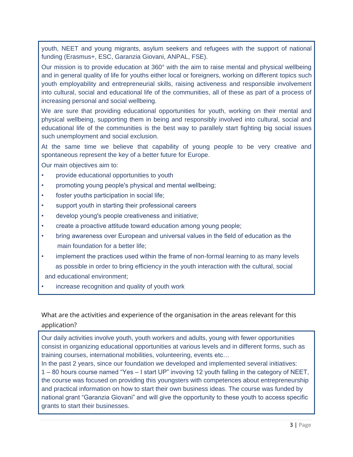youth, NEET and young migrants, asylum seekers and refugees with the support of national funding (Erasmus+, ESC, Garanzia Giovani, ANPAL, FSE).

Our mission is to provide education at 360° with the aim to raise mental and physical wellbeing and in general quality of life for youths either local or foreigners, working on different topics such youth employability and entrepreneurial skills, raising activeness and responsible involvement into cultural, social and educational life of the communities, all of these as part of a process of increasing personal and social wellbeing.

We are sure that providing educational opportunities for youth, working on their mental and physical wellbeing, supporting them in being and responsibly involved into cultural, social and educational life of the communities is the best way to parallely start fighting big social issues such unemployment and social exclusion.

At the same time we believe that capability of young people to be very creative and spontaneous represent the key of a better future for Europe.

Our main objectives aim to:

- provide educational opportunities to youth
- promoting young people's physical and mental wellbeing;
- foster youths participation in social life;
- support youth in starting their professional careers
- develop young's people creativeness and initiative;
- create a proactive attitude toward education among young people;
- bring awareness over European and universal values in the field of education as the main foundation for a better life;
- implement the practices used within the frame of non-formal learning to as many levels as possible in order to bring efficiency in the youth interaction with the cultural, social
- and educational environment;
- increase recognition and quality of youth work

What are the activities and experience of the organisation in the areas relevant for this application?

Our daily activities involve youth, youth workers and adults, young with fewer opportunities consist in organizing educational opportunities at various levels and in different forms, such as training courses, international mobilities, volunteering, events etc…

In the past 2 years, since our foundation we developed and implemented several initiatives: 1 – 80 hours course named "Yes – I start UP" invoving 12 youth falling in the category of NEET, the course was focused on providing this youngsters with competences about entrepreneurship and practical information on how to start their own business ideas. The course was funded by national grant "Garanzia Giovani" and will give the opportunity to these youth to access specific grants to start their businesses.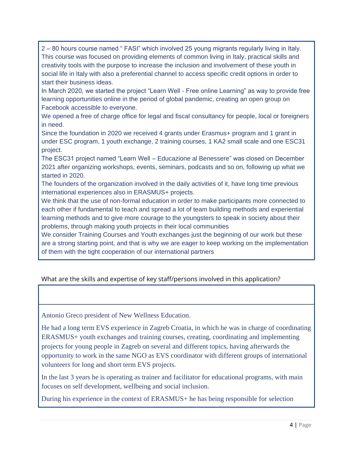2 – 80 hours course named " FASI" which involved 25 young migrants regularly living in Italy. This course was focused on providing elements of common living in Italy, practical skills and creativity tools with the purpose to increase the inclusion and involvement of these youth in social life in Italy with also a preferential channel to access specific credit options in order to start their business ideas.

In March 2020, we started the project "Learn Well - Free online Learning" as way to provide free learning opportunities online in the period of global pandemic, creating an open group on Facebook accessible to everyone.

We opened a free of charge office for legal and fiscal consultancy for people, local or foreigners in need.

Since the foundation in 2020 we received 4 grants under Erasmus+ program and 1 grant in under ESC program, 1 youth exchange, 2 training courses, 1 KA2 small scale and one ESC31 project.

The ESC31 project named "Learn Well – Educazione al Benessere" was closed on December 2021 after organizing workshops, events, seminars, podcasts and so on, following up what we started in 2020.

The founders of the organization involved in the daily activities of it, have long time previous international experiences also in ERASMUS+ projects.

We think that the use of non-formal education in order to make participants more connected to each other if fundamental to teach and spread a lot of team building methods and experiential learning methods and to give more courage to the youngsters to speak in society about their problems, through making youth projects in their local communities

We consider Training Courses and Youth exchanges just the beginning of our work but these are a strong starting point, and that is why we are eager to keep working on the implementation of them with the tight cooperation of our international partners

#### What are the skills and expertise of key staff/persons involved in this application?

Antonio Greco president of New Wellness Education.

He had a long term EVS experience in Zagreb Croatia, in which he was in charge of coordinating ERASMUS+ youth exchanges and training courses, creating, coordinating and implementing projects for young people in Zagreb on several and different topics, having afterwards the opportunity to work in the same NGO as EVS coordinator with different groups of international volunteers for long and short term EVS projects.

In the last 3 years he is operating as trainer and facilitator for educational programs, with main focuses on self development, wellbeing and social inclusion.

During his experience in the context of ERASMUS+ he has being responsible for selection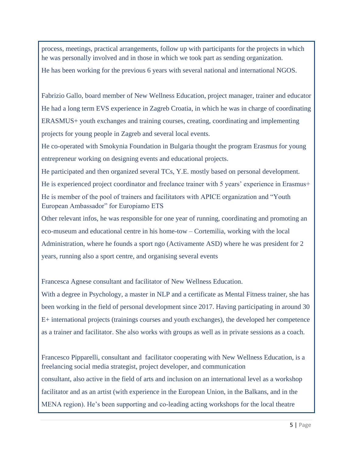process, meetings, practical arrangements, follow up with participants for the projects in which he was personally involved and in those in which we took part as sending organization.

He has been working for the previous 6 years with several national and international NGOS.

Fabrizio Gallo, board member of New Wellness Education, project manager, trainer and educator He had a long term EVS experience in Zagreb Croatia, in which he was in charge of coordinating ERASMUS+ youth exchanges and training courses, creating, coordinating and implementing projects for young people in Zagreb and several local events.

He co-operated with Smokynia Foundation in Bulgaria thought the program Erasmus for young entrepreneur working on designing events and educational projects.

He participated and then organized several TCs, Y.E. mostly based on personal development. He is experienced project coordinator and freelance trainer with 5 years' experience in Erasmus+ He is member of the pool of trainers and facilitators with APICE organization and "Youth European Ambassador" for Europiamo ETS

Other relevant infos, he was responsible for one year of running, coordinating and promoting an eco-museum and educational centre in his home-tow – Cortemilia, working with the local Administration, where he founds a sport ngo (Activamente ASD) where he was president for 2 years, running also a sport centre, and organising several events

Francesca Agnese consultant and facilitator of New Wellness Education.

With a degree in Psychology, a master in NLP and a certificate as Mental Fitness trainer, she has been working in the field of personal development since 2017. Having participating in around 30 E+ international projects (trainings courses and youth exchanges), the developed her competence as a trainer and facilitator. She also works with groups as well as in private sessions as a coach.

Francesco Pipparelli, consultant and facilitator cooperating with New Wellness Education, is a freelancing social media strategist, project developer, and communication consultant, also active in the field of arts and inclusion on an international level as a workshop facilitator and as an artist (with experience in the European Union, in the Balkans, and in the MENA region). He's been supporting and co-leading acting workshops for the local theatre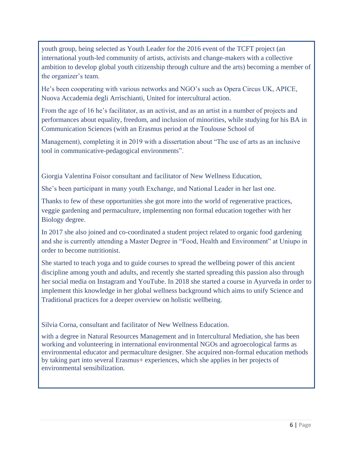youth group, being selected as Youth Leader for the 2016 event of the TCFT project (an international youth-led community of artists, activists and change-makers with a collective ambition to develop global youth citizenship through culture and the arts) becoming a member of the organizer's team.

He's been cooperating with various networks and NGO's such as Opera Circus UK, APICE, Nuova Accademia degli Arrischianti, United for intercultural action.

From the age of 16 he's facilitator, as an activist, and as an artist in a number of projects and performances about equality, freedom, and inclusion of minorities, while studying for his BA in Communication Sciences (with an Erasmus period at the Toulouse School of

Management), completing it in 2019 with a dissertation about "The use of arts as an inclusive tool in communicative-pedagogical environments".

Giorgia Valentina Foisor consultant and facilitator of New Wellness Education,

She's been participant in many youth Exchange, and National Leader in her last one.

Thanks to few of these opportunities she got more into the world of regenerative practices, veggie gardening and permaculture, implementing non formal education together with her Biology degree.

In 2017 she also joined and co-coordinated a student project related to organic food gardening and she is currently attending a Master Degree in "Food, Health and Environment" at Uniupo in order to become nutritionist.

She started to teach yoga and to guide courses to spread the wellbeing power of this ancient discipline among youth and adults, and recently she started spreading this passion also through her social media on Instagram and YouTube. In 2018 she started a course in Ayurveda in order to implement this knowledge in her global wellness background which aims to unify Science and Traditional practices for a deeper overview on holistic wellbeing.

Silvia Corna, consultant and facilitator of New Wellness Education.

with a degree in Natural Resources Management and in Intercultural Mediation, she has been working and volunteering in international environmental NGOs and agroecological farms as environmental educator and permaculture designer. She acquired non-formal education methods by taking part into several Erasmus+ experiences, which she applies in her projects of environmental sensibilization.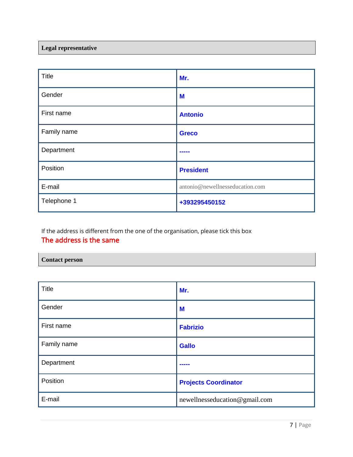#### **Legal representative**

| <b>Title</b> | Mr.                             |
|--------------|---------------------------------|
| Gender       | M                               |
| First name   | <b>Antonio</b>                  |
| Family name  | <b>Greco</b>                    |
| Department   | -----                           |
| Position     | <b>President</b>                |
| E-mail       | antonio@newellnesseducation.com |
| Telephone 1  | +393295450152                   |

If the address is different from the one of the organisation, please tick this box The address is the same

# **Contact person**

| <b>Title</b> | Mr.                           |
|--------------|-------------------------------|
| Gender       | M                             |
| First name   | <b>Fabrizio</b>               |
| Family name  | <b>Gallo</b>                  |
| Department   | -----                         |
| Position     | <b>Projects Coordinator</b>   |
| E-mail       | newellnesseducation@gmail.com |